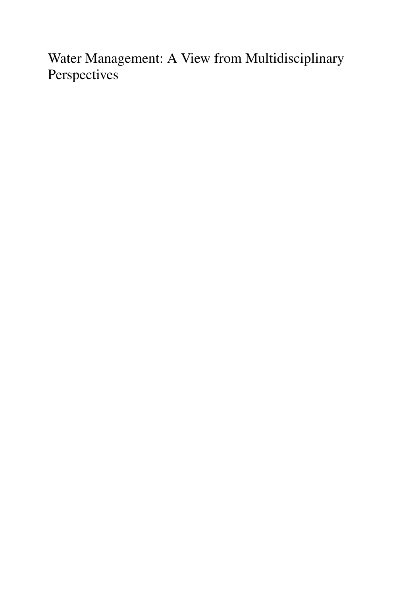Water Management: A View from Multidisciplinary **Perspectives**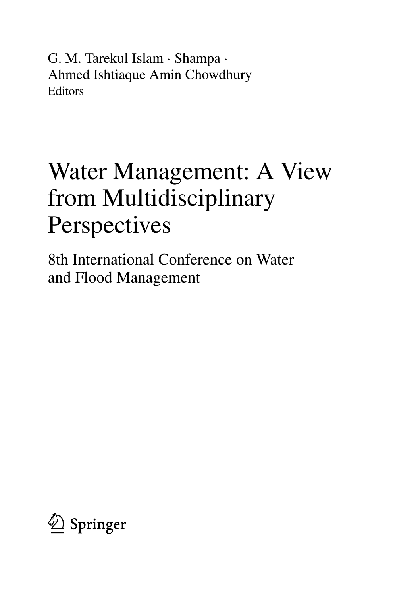G. M. Tarekul Islam · Shampa · Ahmed Ishtiaque Amin Chowdhury Editors

## Water Management: A View from Multidisciplinary **Perspectives**

8th International Conference on Water and Flood Management

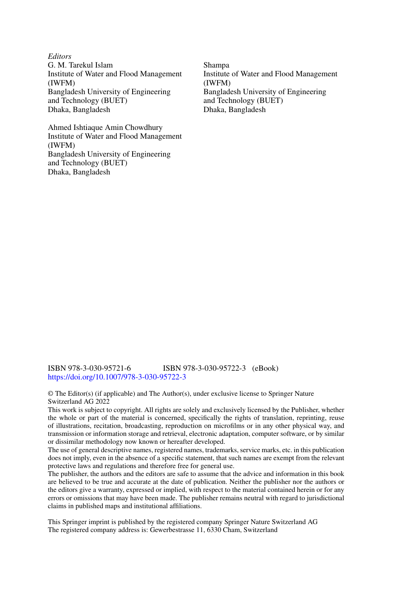*Editors* G. M. Tarekul Islam Institute of Water and Flood Management (IWFM) Bangladesh University of Engineering and Technology (BUET) Dhaka, Bangladesh

Ahmed Ishtiaque Amin Chowdhury Institute of Water and Flood Management (IWFM) Bangladesh University of Engineering and Technology (BUET) Dhaka, Bangladesh

Shampa Institute of Water and Flood Management (IWFM) Bangladesh University of Engineering and Technology (BUET) Dhaka, Bangladesh

ISBN 978-3-030-95721-6 ISBN 978-3-030-95722-3 (eBook) <https://doi.org/10.1007/978-3-030-95722-3>

© The Editor(s) (if applicable) and The Author(s), under exclusive license to Springer Nature Switzerland AG 2022

This work is subject to copyright. All rights are solely and exclusively licensed by the Publisher, whether the whole or part of the material is concerned, specifically the rights of translation, reprinting, reuse of illustrations, recitation, broadcasting, reproduction on microfilms or in any other physical way, and transmission or information storage and retrieval, electronic adaptation, computer software, or by similar or dissimilar methodology now known or hereafter developed.

The use of general descriptive names, registered names, trademarks, service marks, etc. in this publication does not imply, even in the absence of a specific statement, that such names are exempt from the relevant protective laws and regulations and therefore free for general use.

The publisher, the authors and the editors are safe to assume that the advice and information in this book are believed to be true and accurate at the date of publication. Neither the publisher nor the authors or the editors give a warranty, expressed or implied, with respect to the material contained herein or for any errors or omissions that may have been made. The publisher remains neutral with regard to jurisdictional claims in published maps and institutional affiliations.

This Springer imprint is published by the registered company Springer Nature Switzerland AG The registered company address is: Gewerbestrasse 11, 6330 Cham, Switzerland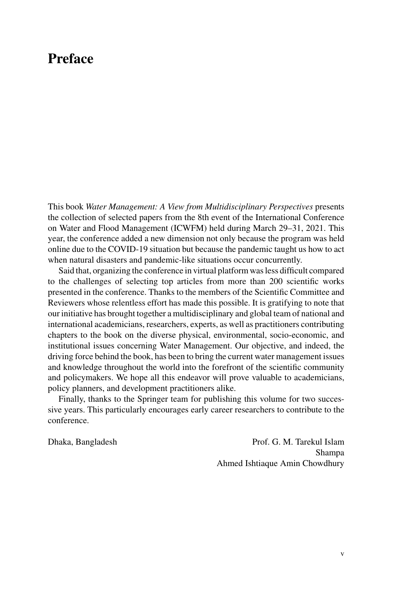## **Preface**

This book *Water Management: A View from Multidisciplinary Perspectives* presents the collection of selected papers from the 8th event of the International Conference on Water and Flood Management (ICWFM) held during March 29–31, 2021. This year, the conference added a new dimension not only because the program was held online due to the COVID-19 situation but because the pandemic taught us how to act when natural disasters and pandemic-like situations occur concurrently.

Said that, organizing the conference in virtual platform was less difficult compared to the challenges of selecting top articles from more than 200 scientific works presented in the conference. Thanks to the members of the Scientific Committee and Reviewers whose relentless effort has made this possible. It is gratifying to note that our initiative has brought together a multidisciplinary and global team of national and international academicians, researchers, experts, as well as practitioners contributing chapters to the book on the diverse physical, environmental, socio-economic, and institutional issues concerning Water Management. Our objective, and indeed, the driving force behind the book, has been to bring the current water management issues and knowledge throughout the world into the forefront of the scientific community and policymakers. We hope all this endeavor will prove valuable to academicians, policy planners, and development practitioners alike.

Finally, thanks to the Springer team for publishing this volume for two successive years. This particularly encourages early career researchers to contribute to the conference.

Dhaka, Bangladesh Prof. G. M. Tarekul Islam Shampa Ahmed Ishtiaque Amin Chowdhury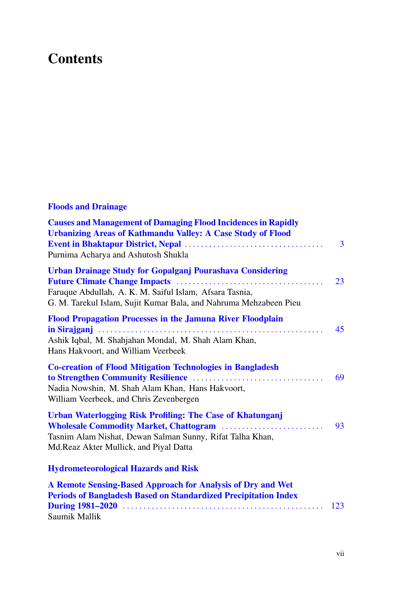## **Contents**

## **Floods and Drainage**

| <b>Causes and Management of Damaging Flood Incidences in Rapidly</b><br><b>Urbanizing Areas of Kathmandu Valley: A Case Study of Flood</b><br>Purnima Acharya and Ashutosh Shukla                | 3   |
|--------------------------------------------------------------------------------------------------------------------------------------------------------------------------------------------------|-----|
| <b>Urban Drainage Study for Gopalganj Pourashava Considering</b><br>Faruque Abdullah, A. K. M. Saiful Islam, Afsara Tasnia,<br>G. M. Tarekul Islam, Sujit Kumar Bala, and Nahruma Mehzabeen Pieu | 23  |
| <b>Flood Propagation Processes in the Jamuna River Floodplain</b><br>Ashik Iqbal, M. Shahjahan Mondal, M. Shah Alam Khan,<br>Hans Hakvoort, and William Veerbeek                                 | 45  |
| <b>Co-creation of Flood Mitigation Technologies in Bangladesh</b><br>Nadia Nowshin, M. Shah Alam Khan, Hans Hakvoort,<br>William Veerbeek, and Chris Zevenbergen                                 | 69  |
| Urban Waterlogging Risk Profiling: The Case of Khatunganj<br>Tasnim Alam Nishat, Dewan Salman Sunny, Rifat Talha Khan,<br>Md.Reaz Akter Mullick, and Piyal Datta                                 | 93  |
| <b>Hydrometeorological Hazards and Risk</b>                                                                                                                                                      |     |
| A Remote Sensing-Based Approach for Analysis of Dry and Wet<br><b>Periods of Bangladesh Based on Standardized Precipitation Index</b><br>Saumik Mallik                                           | 123 |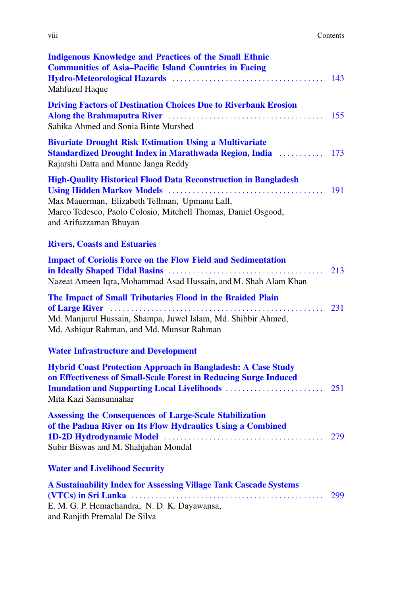| <b>Indigenous Knowledge and Practices of the Small Ethnic</b><br><b>Communities of Asia-Pacific Island Countries in Facing</b><br>Mahfuzul Haque                                                                        | 143 |
|-------------------------------------------------------------------------------------------------------------------------------------------------------------------------------------------------------------------------|-----|
| <b>Driving Factors of Destination Choices Due to Riverbank Erosion</b><br>Sahika Ahmed and Sonia Binte Murshed                                                                                                          | 155 |
| <b>Bivariate Drought Risk Estimation Using a Multivariate</b><br><b>Standardized Drought Index in Marathwada Region, India [1876]</b> 173<br>Rajarshi Datta and Manne Janga Reddy                                       |     |
| <b>High-Quality Historical Flood Data Reconstruction in Bangladesh</b><br>Max Mauerman, Elizabeth Tellman, Upmanu Lall,<br>Marco Tedesco, Paolo Colosio, Mitchell Thomas, Daniel Osgood,<br>and Arifuzzaman Bhuyan      | 191 |
| <b>Rivers, Coasts and Estuaries</b>                                                                                                                                                                                     |     |
| <b>Impact of Coriolis Force on the Flow Field and Sedimentation</b><br>Nazeat Ameen Iqra, Mohammad Asad Hussain, and M. Shah Alam Khan                                                                                  | 213 |
| The Impact of Small Tributaries Flood in the Braided Plain                                                                                                                                                              |     |
| Md. Manjurul Hussain, Shampa, Juwel Islam, Md. Shibbir Ahmed,<br>Md. Ashiqur Rahman, and Md. Munsur Rahman                                                                                                              | 231 |
| <b>Water Infrastructure and Development</b>                                                                                                                                                                             |     |
| <b>Hybrid Coast Protection Approach in Bangladesh: A Case Study</b><br>on Effectiveness of Small-Scale Forest in Reducing Surge Induced<br><b>Inundation and Supporting Local Livelihoods </b><br>Mita Kazi Samsunnahar | 251 |
| <b>Assessing the Consequences of Large-Scale Stabilization</b><br>of the Padma River on Its Flow Hydraulics Using a Combined<br>Subir Biswas and M. Shahjahan Mondal                                                    | 279 |
| <b>Water and Livelihood Security</b>                                                                                                                                                                                    |     |
| A Sustainability Index for Assessing Village Tank Cascade Systems<br>E. M. G. P. Hemachandra, N. D. K. Dayawansa,<br>and Ranjith Premalal De Silva                                                                      | 299 |